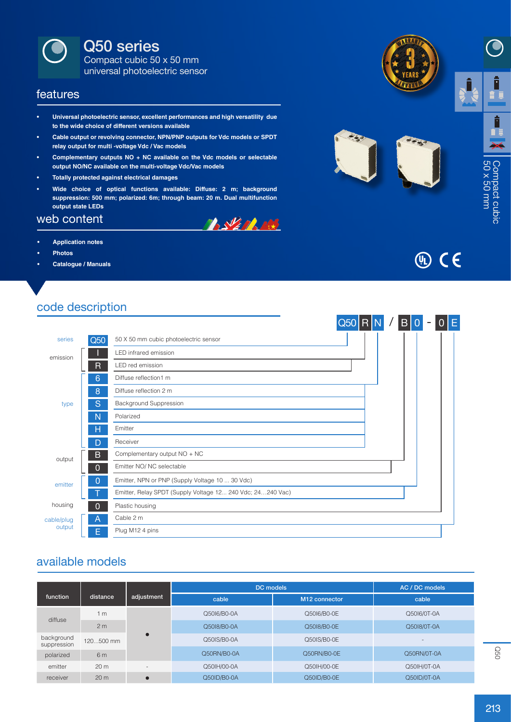

Q50 series

Compact cubic 50 x 50 mm universal photoelectric sensor

#### features

- **• Universal photoelectric sensor, excellent performances and high versatility due to the wide choice of different versions available**
- **• Cable output or revolving connector, NPN/PNP outputs for Vdc models or SPDT relay output for multi -voltage Vdc / Vac models**
- **• Complementary outputs NO + NC available on the Vdc models or selectable output NO/NC available on the multi-voltage Vdc/Vac models**
- **• Totally protected against electrical damages**
- **• Wide choice of optical functions available: Diffuse: 2 m; background suppression: 500 mm; polarized: 6m; through beam: 20 m. Dual multifunction output state LEDs**

#### web content

- **• Application notes**
- **• Photos**
- **• Catalogue / Manuals**









## code description

|                      |              |                                                            | $Q50$ R |  | B <sub>1</sub><br>$\overline{0}$ |  | Ε |
|----------------------|--------------|------------------------------------------------------------|---------|--|----------------------------------|--|---|
| series               | Q50          | 50 X 50 mm cubic photoelectric sensor                      |         |  |                                  |  |   |
| emission             |              | LED infrared emission                                      |         |  |                                  |  |   |
|                      | R            | LED red emission                                           |         |  |                                  |  |   |
|                      | 6            | Diffuse reflection1 m                                      |         |  |                                  |  |   |
|                      | 8            | Diffuse reflection 2 m                                     |         |  |                                  |  |   |
| type                 | S            | Background Suppression                                     |         |  |                                  |  |   |
|                      | N            | Polarized                                                  |         |  |                                  |  |   |
|                      | н            | Emitter                                                    |         |  |                                  |  |   |
|                      | D            | Receiver                                                   |         |  |                                  |  |   |
| output               | B            | Complementary output NO + NC                               |         |  |                                  |  |   |
|                      | $\Omega$     | Emitter NO/ NC selectable                                  |         |  |                                  |  |   |
| emitter              | 0            | Emitter, NPN or PNP (Supply Voltage 10  30 Vdc)            |         |  |                                  |  |   |
|                      |              | Emitter, Relay SPDT (Supply Voltage 12 240 Vdc; 24240 Vac) |         |  |                                  |  |   |
| housing              | $\mathbf{0}$ | Plastic housing                                            |         |  |                                  |  |   |
| cable/plug<br>output | Α            | Cable 2 m                                                  |         |  |                                  |  |   |
|                      | E.           | Plug M12 4 pins                                            |         |  |                                  |  |   |
|                      |              |                                                            |         |  |                                  |  |   |

### available models

|                           |                 |                          | <b>DC</b> models | AC / DC models            |                          |
|---------------------------|-----------------|--------------------------|------------------|---------------------------|--------------------------|
| function                  | distance        | adjustment               | cable            | M <sub>12</sub> connector | cable                    |
| diffuse                   | 1 <sub>m</sub>  |                          | Q5016/B0-0A      | Q5016/B0-0E               | Q5016/0T-0A              |
|                           | 2 <sub>m</sub>  |                          | Q5018/B0-0A      | Q5018/B0-0E               | Q5018/0T-0A              |
| background<br>suppression | 120500 mm       | $\bullet$                | Q50IS/B0-0A      | Q50IS/B0-0E               | $\overline{\phantom{a}}$ |
| polarized                 | 6 m             |                          | Q50RN/B0-0A      | Q50RN/B0-0E               | Q50RN/0T-0A              |
| emitter                   | 20 <sub>m</sub> | $\overline{\phantom{a}}$ | Q501H/00-0A      | Q501H/00-0E               | Q50IH/0T-0A              |
| receiver                  | 20 <sub>m</sub> | $\bullet$                | Q50ID/B0-0A      | Q50ID/B0-0E               | Q50ID/0T-0A              |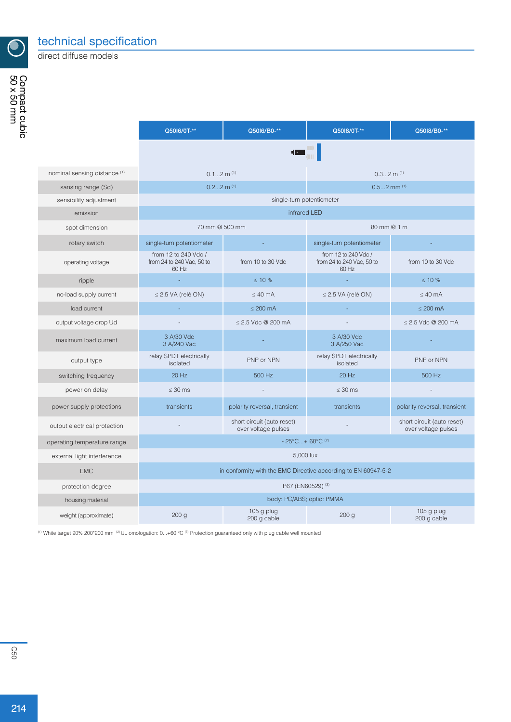

direct diffuse models

|                              | Q5016/0T-**                                                    | Q5016/B0-**                                       | Q5018/0T-**                                                | Q5018/B0-**                                       |  |  |
|------------------------------|----------------------------------------------------------------|---------------------------------------------------|------------------------------------------------------------|---------------------------------------------------|--|--|
|                              |                                                                | <b>TEL:</b>                                       |                                                            |                                                   |  |  |
|                              |                                                                |                                                   |                                                            |                                                   |  |  |
| nominal sensing distance (1) | $0.12$ m $(1)$                                                 |                                                   | $0.32$ m $(1)$                                             |                                                   |  |  |
| sansing range (Sd)           | $0.22$ m $(1)$<br>$0.52$ mm $(1)$                              |                                                   |                                                            |                                                   |  |  |
| sensibility adjustment       |                                                                | single-turn potentiometer                         |                                                            |                                                   |  |  |
| emission                     | infrared LED                                                   |                                                   |                                                            |                                                   |  |  |
| spot dimension               | 70 mm @ 500 mm                                                 |                                                   | 80 mm @ 1 m                                                |                                                   |  |  |
| rotary switch                | single-turn potentiometer                                      |                                                   | single-turn potentiometer                                  |                                                   |  |  |
| operating voltage            | from 12 to 240 Vdc /<br>from 24 to 240 Vac, 50 to<br>60 Hz     | from 10 to 30 Vdc                                 | from 12 to 240 Vdc /<br>from 24 to 240 Vac, 50 to<br>60 Hz | from 10 to 30 Vdc                                 |  |  |
| ripple                       |                                                                | $\leq 10\%$                                       |                                                            | $\leq 10 \%$                                      |  |  |
| no-load supply current       | $\leq$ 2.5 VA (relè ON)                                        | $\leq 40$ mA                                      | $\leq$ 2.5 VA (relè ON)                                    | $\leq 40$ mA                                      |  |  |
| load current                 |                                                                | $\leq 200$ mA                                     |                                                            | $\leq 200$ mA                                     |  |  |
| output voltage drop Ud       |                                                                | $\leq$ 2.5 Vdc @ 200 mA                           |                                                            | $\leq$ 2.5 Vdc @ 200 mA                           |  |  |
| maximum load current         | 3 A/30 Vdc<br>3 A/240 Vac                                      |                                                   | 3 A/30 Vdc<br>3 A/250 Vac                                  |                                                   |  |  |
| output type                  | relay SPDT electrically<br>isolated                            | PNP or NPN                                        | relay SPDT electrically<br>isolated                        | PNP or NPN                                        |  |  |
| switching frequency          | 20 Hz                                                          | 500 Hz                                            | 20 Hz                                                      | 500 Hz                                            |  |  |
| power on delay               | $\leq 30$ ms                                                   |                                                   | $\leq 30$ ms                                               |                                                   |  |  |
| power supply protections     | transients                                                     | polarity reversal, transient                      | transients                                                 | polarity reversal, transient                      |  |  |
| output electrical protection |                                                                | short circuit (auto reset)<br>over voltage pulses |                                                            | short circuit (auto reset)<br>over voltage pulses |  |  |
| operating temperature range  | $-25^{\circ}$ C + 60 $^{\circ}$ C <sup>(2)</sup>               |                                                   |                                                            |                                                   |  |  |
| external light interference  | 5,000 lux                                                      |                                                   |                                                            |                                                   |  |  |
| <b>EMC</b>                   | in conformity with the EMC Directive according to EN 60947-5-2 |                                                   |                                                            |                                                   |  |  |
| protection degree            | IP67 (EN60529) <sup>(3)</sup>                                  |                                                   |                                                            |                                                   |  |  |
| housing material             | body: PC/ABS; optic: PMMA                                      |                                                   |                                                            |                                                   |  |  |
| weight (approximate)         | 200 <sub>g</sub>                                               | 105 g plug<br>200 g cable                         | 200 g                                                      | $105g$ plug<br>200 g cable                        |  |  |

(1) White target 90% 200\*200 mm (2) UL omologation: 0...+60 °C (3) Protection guaranteed only with plug cable well mounted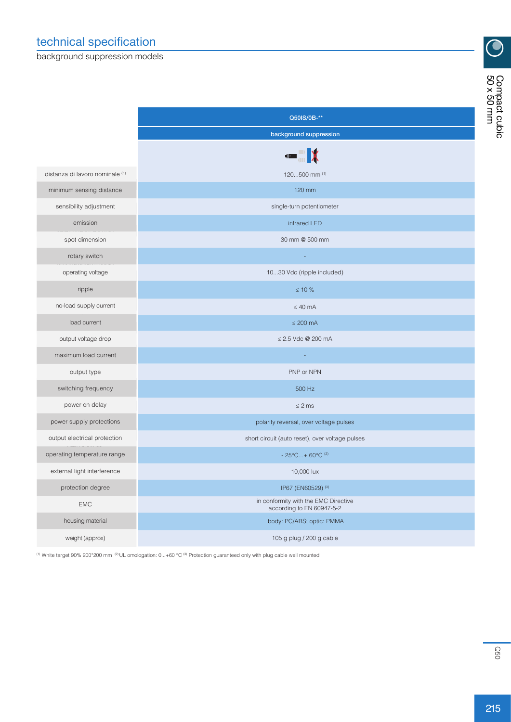background suppression models

|                                 | Q50IS/0B-**                                                       |  |  |  |
|---------------------------------|-------------------------------------------------------------------|--|--|--|
|                                 | background suppression                                            |  |  |  |
|                                 | $\blacksquare$                                                    |  |  |  |
| distanza di lavoro nominale (1) | 120500 mm (1)                                                     |  |  |  |
| minimum sensing distance        | 120 mm                                                            |  |  |  |
| sensibility adjustment          | single-turn potentiometer                                         |  |  |  |
| emission                        | infrared LED                                                      |  |  |  |
| spot dimension                  | 30 mm @ 500 mm                                                    |  |  |  |
| rotary switch                   |                                                                   |  |  |  |
| operating voltage               | 1030 Vdc (ripple included)                                        |  |  |  |
| ripple                          | $≤ 10 %$                                                          |  |  |  |
| no-load supply current          | $\leq 40$ mA                                                      |  |  |  |
| load current                    | $\leq 200$ mA                                                     |  |  |  |
| output voltage drop             | ≤ 2.5 Vdc @ 200 mA                                                |  |  |  |
| maximum load current            |                                                                   |  |  |  |
| output type                     | PNP or NPN                                                        |  |  |  |
| switching frequency             | 500 Hz                                                            |  |  |  |
| power on delay                  | $\leq$ 2 ms                                                       |  |  |  |
| power supply protections        | polarity reversal, over voltage pulses                            |  |  |  |
| output electrical protection    | short circuit (auto reset), over voltage pulses                   |  |  |  |
| operating temperature range     | $-25^{\circ}$ C + 60°C <sup>(2)</sup>                             |  |  |  |
| external light interference     | 10,000 lux                                                        |  |  |  |
| protection degree               | IP67 (EN60529) (3)                                                |  |  |  |
| <b>EMC</b>                      | in conformity with the EMC Directive<br>according to EN 60947-5-2 |  |  |  |
| housing material                | body: PC/ABS; optic: PMMA                                         |  |  |  |
| weight (approx)                 | 105 g plug / 200 g cable                                          |  |  |  |

(1) White target 90% 200\*200 mm (2) UL omologation: 0...+60 °C (3) Protection guaranteed only with plug cable well mounted

 $\overline{\bigodot}$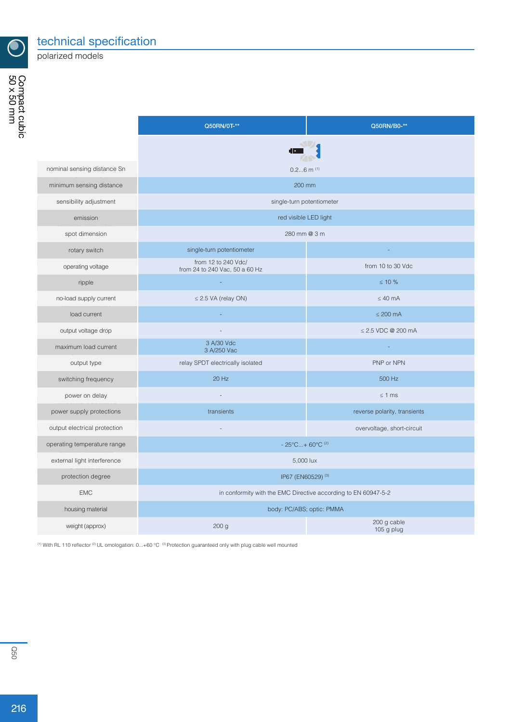

technical specification

polarized models

|                              | Q50RN/0T-**                                                    | Q50RN/B0-**                  |  |  |  |
|------------------------------|----------------------------------------------------------------|------------------------------|--|--|--|
|                              | E I -                                                          |                              |  |  |  |
| nominal sensing distance Sn  | $0.26$ m $(1)$                                                 |                              |  |  |  |
| minimum sensing distance     | 200 mm                                                         |                              |  |  |  |
|                              |                                                                |                              |  |  |  |
| sensibility adjustment       | single-turn potentiometer                                      |                              |  |  |  |
| emission                     |                                                                | red visible LED light        |  |  |  |
| spot dimension               | 280 mm @ 3 m                                                   |                              |  |  |  |
| rotary switch                | single-turn potentiometer                                      |                              |  |  |  |
| operating voltage            | from 12 to 240 Vdc/<br>from 24 to 240 Vac, 50 a 60 Hz          | from 10 to 30 Vdc            |  |  |  |
| ripple                       |                                                                | $\leq 10 \%$                 |  |  |  |
| no-load supply current       | $\leq$ 2.5 VA (relay ON)                                       | $\leq 40$ mA                 |  |  |  |
| load current                 |                                                                | $\leq$ 200 mA                |  |  |  |
| output voltage drop          |                                                                | $\leq$ 2.5 VDC @ 200 mA      |  |  |  |
| maximum load current         | 3 A/30 Vdc<br>3 A/250 Vac                                      |                              |  |  |  |
| output type                  | relay SPDT electrically isolated                               | PNP or NPN                   |  |  |  |
| switching frequency          | 20 Hz                                                          | 500 Hz                       |  |  |  |
| power on delay               |                                                                | $\leq 1$ ms                  |  |  |  |
| power supply protections     | transients                                                     | reverse polarity, transients |  |  |  |
| output electrical protection |                                                                | overvoltage, short-circuit   |  |  |  |
| operating temperature range  | $-25^{\circ}$ C + 60 $^{\circ}$ C <sup>(2)</sup>               |                              |  |  |  |
| external light interference  | 5,000 lux                                                      |                              |  |  |  |
| protection degree            | IP67 (EN60529) <sup>(3)</sup>                                  |                              |  |  |  |
| <b>EMC</b>                   | in conformity with the EMC Directive according to EN 60947-5-2 |                              |  |  |  |
| housing material             | body: PC/ABS; optic: PMMA                                      |                              |  |  |  |
| weight (approx)              | 200 g                                                          | 200 g cable<br>105 g plug    |  |  |  |

(1) With RL 110 reflector <sup>(2)</sup> UL omologation:  $0...+60$  °C  $^{(3)}$  Protection guaranteed only with plug cable well mounted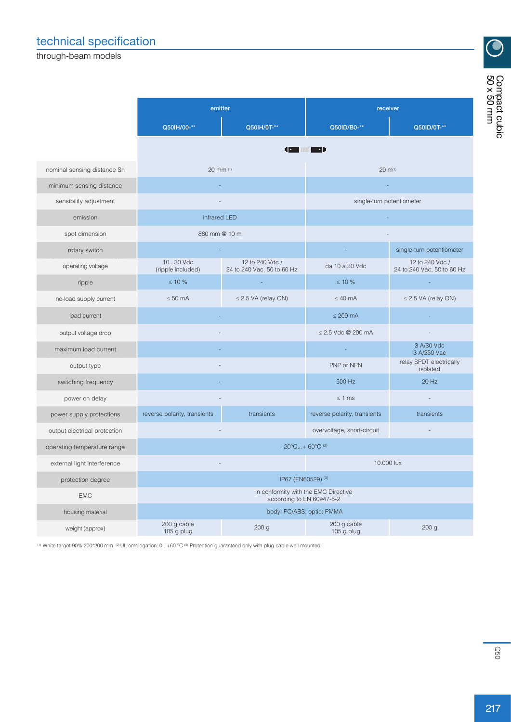# technical specification

through-beam models

| Q50ID/B0-**    | receiver<br>Q50ID/0T-**                      | compact cubic<br>50 x 50 mm |
|----------------|----------------------------------------------|-----------------------------|
| •1             |                                              |                             |
|                | $20 \, \text{m}^{(1)}$                       |                             |
|                |                                              |                             |
|                | single-turn potentiometer                    |                             |
|                |                                              |                             |
|                |                                              |                             |
|                | single-turn potentiometer                    |                             |
| da 10 a 30 Vdc | 12 to 240 Vdc /<br>24 to 240 Vac 50 to 60 Hz |                             |

9

| nominal sensing distance Sn  | 20 mm (1)                                                         |                                               | $20 \, m^{(1)}$              |                                               |  |  |
|------------------------------|-------------------------------------------------------------------|-----------------------------------------------|------------------------------|-----------------------------------------------|--|--|
| minimum sensing distance     |                                                                   |                                               |                              |                                               |  |  |
| sensibility adjustment       |                                                                   |                                               |                              | single-turn potentiometer                     |  |  |
| emission                     | infrared LED                                                      |                                               |                              |                                               |  |  |
| spot dimension               | 880 mm @ 10 m                                                     |                                               |                              |                                               |  |  |
| rotary switch                |                                                                   |                                               |                              | single-turn potentiometer                     |  |  |
| operating voltage            | 1030 Vdc<br>(ripple included)                                     | 12 to 240 Vdc /<br>24 to 240 Vac, 50 to 60 Hz | da 10 a 30 Vdc               | 12 to 240 Vdc /<br>24 to 240 Vac, 50 to 60 Hz |  |  |
| ripple                       | $\leq 10 \%$                                                      |                                               | $\leq 10 \%$                 |                                               |  |  |
| no-load supply current       | $\leq 50$ mA                                                      | $\leq$ 2.5 VA (relay ON)                      | $\leq 40$ mA                 | $\leq$ 2.5 VA (relay ON)                      |  |  |
| load current                 |                                                                   |                                               | $\leq 200$ mA                |                                               |  |  |
| output voltage drop          |                                                                   |                                               | ≤ 2.5 Vdc @ 200 mA           |                                               |  |  |
| maximum load current         |                                                                   |                                               |                              | 3 A/30 Vdc<br>3 A/250 Vac                     |  |  |
| output type                  |                                                                   |                                               | PNP or NPN                   | relay SPDT electrically<br>isolated           |  |  |
| switching frequency          |                                                                   |                                               | 500 Hz                       | $20$ Hz                                       |  |  |
| power on delay               |                                                                   |                                               | $\leq 1$ ms                  |                                               |  |  |
| power supply protections     | reverse polarity, transients<br>transients                        |                                               | reverse polarity, transients | transients                                    |  |  |
| output electrical protection |                                                                   |                                               | overvoltage, short-circuit   |                                               |  |  |
| operating temperature range  | $-20^{\circ}$ C + 60°C (2)                                        |                                               |                              |                                               |  |  |
| external light interference  |                                                                   |                                               | 10.000 lux                   |                                               |  |  |
| protection degree            |                                                                   | IP67 (EN60529) (3)                            |                              |                                               |  |  |
| <b>EMC</b>                   | in conformity with the EMC Directive<br>according to EN 60947-5-2 |                                               |                              |                                               |  |  |
| housing material             |                                                                   | body: PC/ABS; optic: PMMA                     |                              |                                               |  |  |
| weight (approx)              | 200 g cable<br>105 g plug                                         | 200 <sub>g</sub>                              | 200 g cable<br>$105g$ plug   | 200 <sub>g</sub>                              |  |  |

emitter

Q50IH/00-\*\* Q50IH/0T-\*\*

 $(1)$  White target 90% 200\*200 mm  $(2)$  UL omologation: 0...+60 °C  $(3)$  Protection guaranteed only with plug cable well mounted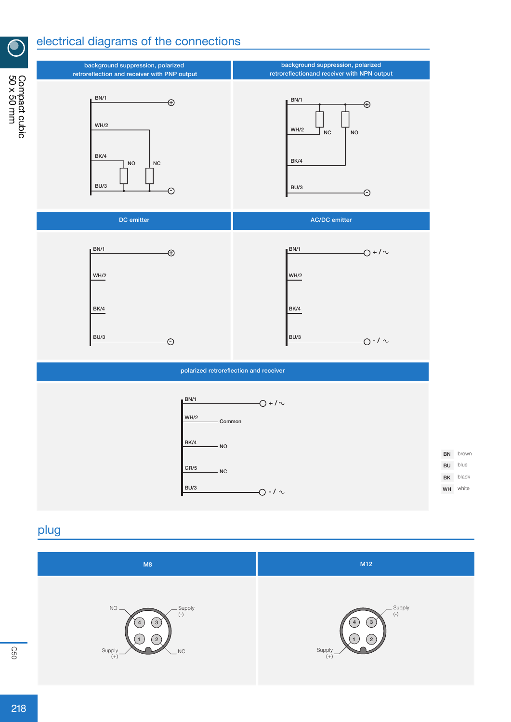## electrical diagrams of the connections



### plug



 $\bullet$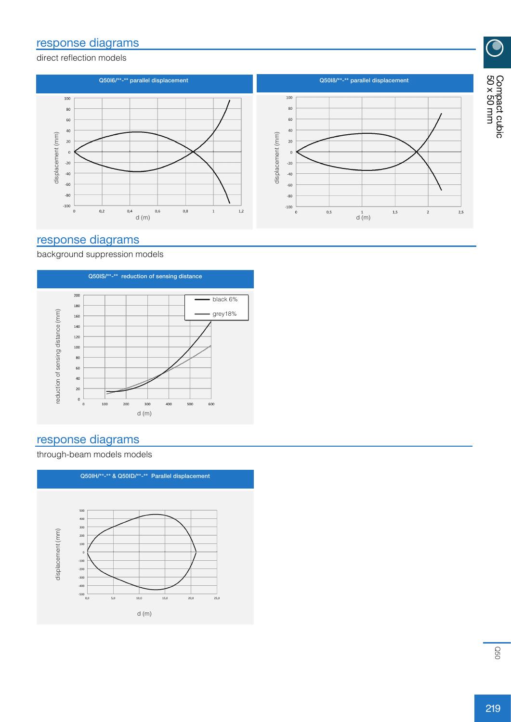### response diagrams

direct reflection models



### response diagrams

background suppression models



#### response diagrams

through-beam models models



 $\overline{\textcircled{\bullet}}$